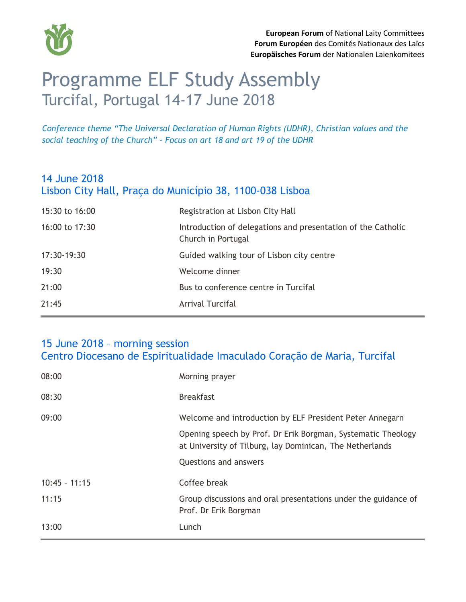

# Programme ELF Study Assembly Turcifal, Portugal 14-17 June 2018

*Conference theme "The Universal Declaration of Human Rights (UDHR), Christian values and the social teaching of the Church" – Focus on art 18 and art 19 of the UDHR*

# 14 June 2018 Lisbon City Hall, Praça do Município 38, 1100-038 Lisboa

| 15:30 to 16:00 | Registration at Lisbon City Hall                                                   |
|----------------|------------------------------------------------------------------------------------|
| 16:00 to 17:30 | Introduction of delegations and presentation of the Catholic<br>Church in Portugal |
| 17:30-19:30    | Guided walking tour of Lisbon city centre                                          |
| 19:30          | Welcome dinner                                                                     |
| 21:00          | Bus to conference centre in Turcifal                                               |
| 21:45          | Arrival Turcifal                                                                   |

#### 15 June 2018 – morning session Centro Diocesano de Espiritualidade Imaculado Coração de Maria, Turcifal

| 08:00           | Morning prayer                                                                                                           |
|-----------------|--------------------------------------------------------------------------------------------------------------------------|
| 08:30           | <b>Breakfast</b>                                                                                                         |
| 09:00           | Welcome and introduction by ELF President Peter Annegarn                                                                 |
|                 | Opening speech by Prof. Dr Erik Borgman, Systematic Theology<br>at University of Tilburg, lay Dominican, The Netherlands |
|                 | <b>Questions and answers</b>                                                                                             |
| $10:45 - 11:15$ | Coffee break                                                                                                             |
| 11:15           | Group discussions and oral presentations under the guidance of<br>Prof. Dr Erik Borgman                                  |
| 13:00           | Lunch                                                                                                                    |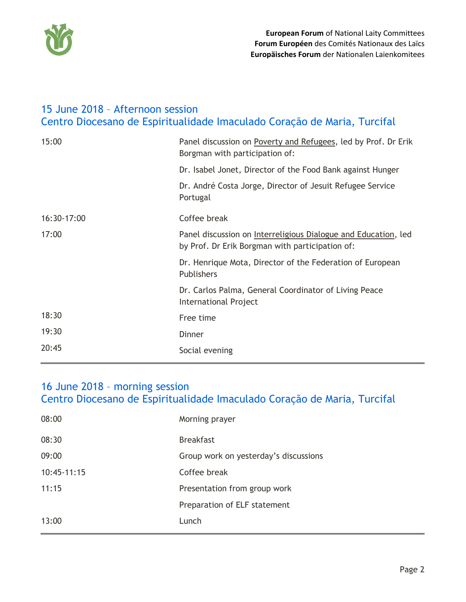

### 15 June 2018 – Afternoon session Centro Diocesano de Espiritualidade Imaculado Coração de Maria, Turcifal

| 15:00       | Panel discussion on Poverty and Refugees, led by Prof. Dr Erik<br>Borgman with participation of:                  |
|-------------|-------------------------------------------------------------------------------------------------------------------|
|             | Dr. Isabel Jonet, Director of the Food Bank against Hunger                                                        |
|             | Dr. André Costa Jorge, Director of Jesuit Refugee Service<br>Portugal                                             |
| 16:30-17:00 | Coffee break                                                                                                      |
| 17:00       | Panel discussion on Interreligious Dialogue and Education, led<br>by Prof. Dr Erik Borgman with participation of: |
|             | Dr. Henrique Mota, Director of the Federation of European<br>Publishers                                           |
|             | Dr. Carlos Palma, General Coordinator of Living Peace<br><b>International Project</b>                             |
| 18:30       | Free time                                                                                                         |
| 19:30       | Dinner                                                                                                            |
| 20:45       | Social evening                                                                                                    |

#### 16 June 2018 – morning session Centro Diocesano de Espiritualidade Imaculado Coração de Maria, Turcifal

| 13:00         | Lunch                                 |
|---------------|---------------------------------------|
|               | Preparation of ELF statement          |
| 11:15         | Presentation from group work          |
| $10:45-11:15$ | Coffee break                          |
| 09:00         | Group work on yesterday's discussions |
| 08:30         | <b>Breakfast</b>                      |
| 08:00         | Morning prayer                        |